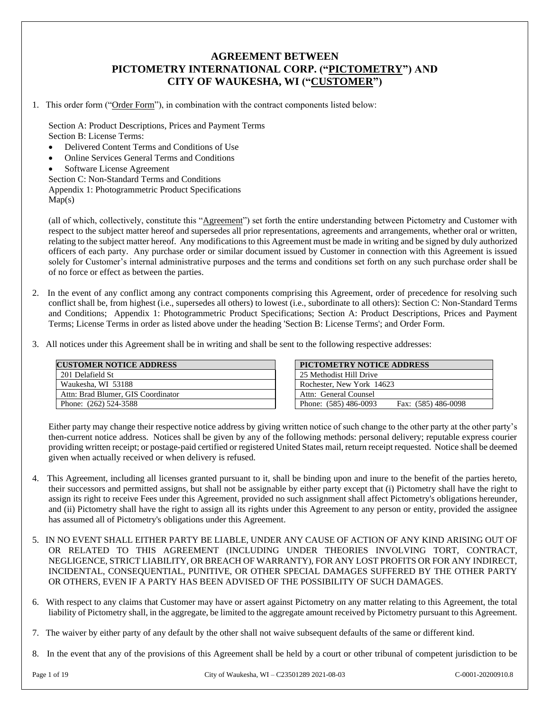## **AGREEMENT BETWEEN PICTOMETRY INTERNATIONAL CORP. ("PICTOMETRY") AND CITY OF WAUKESHA, WI ("CUSTOMER")**

1. This order form ("Order Form"), in combination with the contract components listed below:

Section A: Product Descriptions, Prices and Payment Terms Section B: License Terms:

- Delivered Content Terms and Conditions of Use
- Online Services General Terms and Conditions
- Software License Agreement

Section C: Non-Standard Terms and Conditions

Appendix 1: Photogrammetric Product Specifications

 $Map(s)$ 

(all of which, collectively, constitute this "Agreement") set forth the entire understanding between Pictometry and Customer with respect to the subject matter hereof and supersedes all prior representations, agreements and arrangements, whether oral or written, relating to the subject matter hereof. Any modifications to this Agreement must be made in writing and be signed by duly authorized officers of each party. Any purchase order or similar document issued by Customer in connection with this Agreement is issued solely for Customer's internal administrative purposes and the terms and conditions set forth on any such purchase order shall be of no force or effect as between the parties.

- 2. In the event of any conflict among any contract components comprising this Agreement, order of precedence for resolving such conflict shall be, from highest (i.e., supersedes all others) to lowest (i.e., subordinate to all others): Section C: Non-Standard Terms and Conditions; Appendix 1: Photogrammetric Product Specifications; Section A: Product Descriptions, Prices and Payment Terms; License Terms in order as listed above under the heading 'Section B: License Terms'; and Order Form.
- 3. All notices under this Agreement shall be in writing and shall be sent to the following respective addresses:

| <b>CUSTOMER NOTICE ADDRESS</b>     |  |
|------------------------------------|--|
| 201 Delafield St                   |  |
| Waukesha, WI 53188                 |  |
| Attn: Brad Blumer, GIS Coordinator |  |
| Phone: (262) 524-3588              |  |

| PICTOMETRY NOTICE ADDRESS                    |
|----------------------------------------------|
| 25 Methodist Hill Drive                      |
| Rochester, New York 14623                    |
| Attn: General Counsel                        |
| Phone: (585) 486-0093<br>Fax: (585) 486-0098 |

Either party may change their respective notice address by giving written notice of such change to the other party at the other party's then-current notice address. Notices shall be given by any of the following methods: personal delivery; reputable express courier providing written receipt; or postage-paid certified or registered United States mail, return receipt requested. Notice shall be deemed given when actually received or when delivery is refused.

- 4. This Agreement, including all licenses granted pursuant to it, shall be binding upon and inure to the benefit of the parties hereto, their successors and permitted assigns, but shall not be assignable by either party except that (i) Pictometry shall have the right to assign its right to receive Fees under this Agreement, provided no such assignment shall affect Pictometry's obligations hereunder, and (ii) Pictometry shall have the right to assign all its rights under this Agreement to any person or entity, provided the assignee has assumed all of Pictometry's obligations under this Agreement.
- 5. IN NO EVENT SHALL EITHER PARTY BE LIABLE, UNDER ANY CAUSE OF ACTION OF ANY KIND ARISING OUT OF OR RELATED TO THIS AGREEMENT (INCLUDING UNDER THEORIES INVOLVING TORT, CONTRACT, NEGLIGENCE, STRICT LIABILITY, OR BREACH OF WARRANTY), FOR ANY LOST PROFITS OR FOR ANY INDIRECT, INCIDENTAL, CONSEQUENTIAL, PUNITIVE, OR OTHER SPECIAL DAMAGES SUFFERED BY THE OTHER PARTY OR OTHERS, EVEN IF A PARTY HAS BEEN ADVISED OF THE POSSIBILITY OF SUCH DAMAGES.
- 6. With respect to any claims that Customer may have or assert against Pictometry on any matter relating to this Agreement, the total liability of Pictometry shall, in the aggregate, be limited to the aggregate amount received by Pictometry pursuant to this Agreement.

8. In the event that any of the provisions of this Agreement shall be held by a court or other tribunal of competent jurisdiction to be

<sup>7.</sup> The waiver by either party of any default by the other shall not waive subsequent defaults of the same or different kind.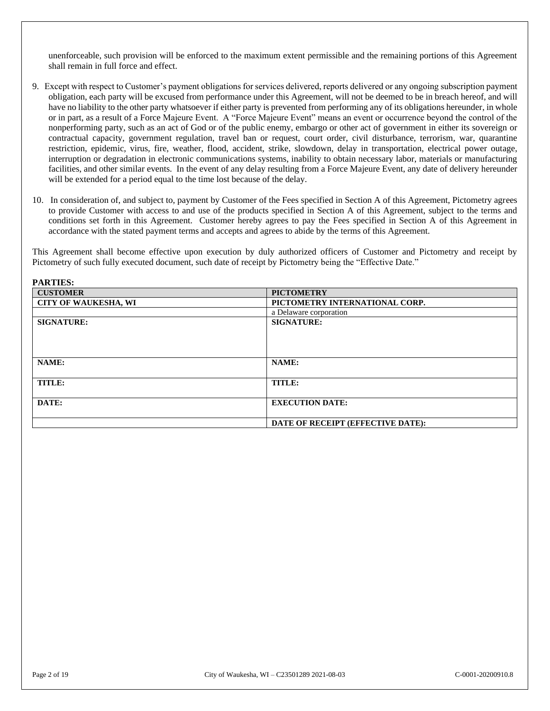unenforceable, such provision will be enforced to the maximum extent permissible and the remaining portions of this Agreement shall remain in full force and effect.

- 9. Except with respect to Customer's payment obligations for services delivered, reports delivered or any ongoing subscription payment obligation, each party will be excused from performance under this Agreement, will not be deemed to be in breach hereof, and will have no liability to the other party whatsoever if either party is prevented from performing any of its obligations hereunder, in whole or in part, as a result of a Force Majeure Event. A "Force Majeure Event" means an event or occurrence beyond the control of the nonperforming party, such as an act of God or of the public enemy, embargo or other act of government in either its sovereign or contractual capacity, government regulation, travel ban or request, court order, civil disturbance, terrorism, war, quarantine restriction, epidemic, virus, fire, weather, flood, accident, strike, slowdown, delay in transportation, electrical power outage, interruption or degradation in electronic communications systems, inability to obtain necessary labor, materials or manufacturing facilities, and other similar events. In the event of any delay resulting from a Force Majeure Event, any date of delivery hereunder will be extended for a period equal to the time lost because of the delay.
- 10. In consideration of, and subject to, payment by Customer of the Fees specified in Section A of this Agreement, Pictometry agrees to provide Customer with access to and use of the products specified in Section A of this Agreement, subject to the terms and conditions set forth in this Agreement. Customer hereby agrees to pay the Fees specified in Section A of this Agreement in accordance with the stated payment terms and accepts and agrees to abide by the terms of this Agreement.

This Agreement shall become effective upon execution by duly authorized officers of Customer and Pictometry and receipt by Pictometry of such fully executed document, such date of receipt by Pictometry being the "Effective Date."

| PARTIES:                    |                                   |
|-----------------------------|-----------------------------------|
| <b>CUSTOMER</b>             | <b>PICTOMETRY</b>                 |
| <b>CITY OF WAUKESHA, WI</b> | PICTOMETRY INTERNATIONAL CORP.    |
|                             | a Delaware corporation            |
| <b>SIGNATURE:</b>           | <b>SIGNATURE:</b>                 |
|                             |                                   |
|                             |                                   |
|                             |                                   |
| NAME:                       | NAME:                             |
|                             |                                   |
| TITLE:                      | TITLE:                            |
|                             |                                   |
| DATE:                       | <b>EXECUTION DATE:</b>            |
|                             |                                   |
|                             | DATE OF RECEIPT (EFFECTIVE DATE): |

**PARTIES:**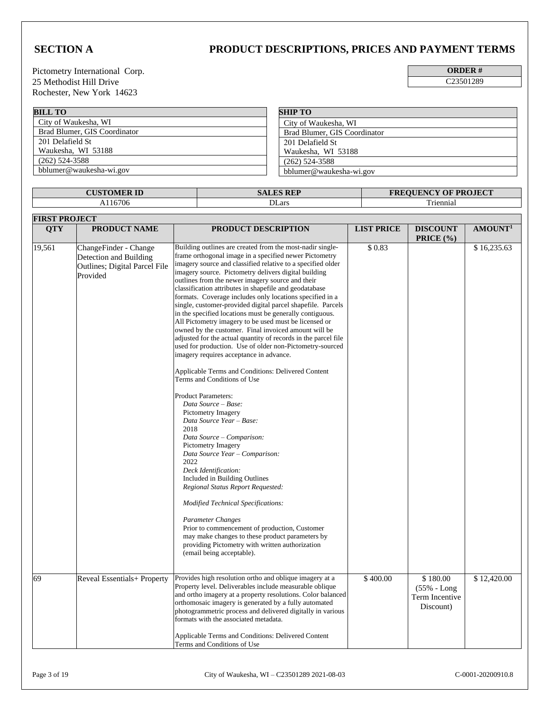# **SECTION A PRODUCT DESCRIPTIONS, PRICES AND PAYMENT TERMS**

Pictometry International Corp. 25 Methodist Hill Drive C23501289 Rochester, New York 14623

| <b>ORDER</b> |  |
|--------------|--|
| C2350128     |  |

**BILL TO** City of Waukesha, WI Brad Blumer, GIS Coordinator 201 Delafield St Waukesha, WI 53188 (262) 524-3588 bblumer@waukesha-wi.gov **SHIP TO** City of Waukesha, WI Brad Blumer, GIS Coordinator 201 Delafield St Waukesha, WI 53188 (262) 524-3588 bblumer@waukesha-wi.gov

| <b>CUSTOMER ID</b> | <b>SALES REP</b> | <b>FREQUENCY OF PROJECT</b> |
|--------------------|------------------|-----------------------------|
| 16706              | DLars            | $\sim$<br>l riennial        |

|              | <b>FIRST PROJECT</b>                                                                                                        |                                                                                                                                                                                                                                                                                                                                                                                                                                                                                                                                                                                                                                                                                                                                                                                                                                                                                                                                                                                                                                                                                                                                                                                                                                                                                                                                                                                                                                                                                                                                                                  |                    |                                            |                            |
|--------------|-----------------------------------------------------------------------------------------------------------------------------|------------------------------------------------------------------------------------------------------------------------------------------------------------------------------------------------------------------------------------------------------------------------------------------------------------------------------------------------------------------------------------------------------------------------------------------------------------------------------------------------------------------------------------------------------------------------------------------------------------------------------------------------------------------------------------------------------------------------------------------------------------------------------------------------------------------------------------------------------------------------------------------------------------------------------------------------------------------------------------------------------------------------------------------------------------------------------------------------------------------------------------------------------------------------------------------------------------------------------------------------------------------------------------------------------------------------------------------------------------------------------------------------------------------------------------------------------------------------------------------------------------------------------------------------------------------|--------------------|--------------------------------------------|----------------------------|
| <b>QTY</b>   | PRODUCT NAME                                                                                                                | PRODUCT DESCRIPTION                                                                                                                                                                                                                                                                                                                                                                                                                                                                                                                                                                                                                                                                                                                                                                                                                                                                                                                                                                                                                                                                                                                                                                                                                                                                                                                                                                                                                                                                                                                                              | <b>LIST PRICE</b>  | <b>DISCOUNT</b><br>PRICE (%)               | AMOUNT <sup>1</sup>        |
| 19,561<br>69 | ChangeFinder - Change<br>Detection and Building<br>Outlines; Digital Parcel File<br>Provided<br>Reveal Essentials+ Property | Building outlines are created from the most-nadir single-<br>frame orthogonal image in a specified newer Pictometry<br>imagery source and classified relative to a specified older<br>imagery source. Pictometry delivers digital building<br>outlines from the newer imagery source and their<br>classification attributes in shapefile and geodatabase<br>formats. Coverage includes only locations specified in a<br>single, customer-provided digital parcel shapefile. Parcels<br>in the specified locations must be generally contiguous.<br>All Pictometry imagery to be used must be licensed or<br>owned by the customer. Final invoiced amount will be<br>adjusted for the actual quantity of records in the parcel file<br>used for production. Use of older non-Pictometry-sourced<br>imagery requires acceptance in advance.<br>Applicable Terms and Conditions: Delivered Content<br>Terms and Conditions of Use<br><b>Product Parameters:</b><br>Data Source - Base:<br>Pictometry Imagery<br>Data Source Year - Base:<br>2018<br>Data Source - Comparison:<br><b>Pictometry Imagery</b><br>Data Source Year - Comparison:<br>2022<br>Deck Identification:<br>Included in Building Outlines<br>Regional Status Report Requested:<br>Modified Technical Specifications:<br><b>Parameter Changes</b><br>Prior to commencement of production, Customer<br>may make changes to these product parameters by<br>providing Pictometry with written authorization<br>(email being acceptable).<br>Provides high resolution ortho and oblique imagery at a | \$0.83<br>\$400.00 | \$180.00                                   | \$16,235.63<br>\$12,420.00 |
|              |                                                                                                                             | Property level. Deliverables include measurable oblique<br>and ortho imagery at a property resolutions. Color balanced<br>orthomosaic imagery is generated by a fully automated<br>photogrammetric process and delivered digitally in various<br>formats with the associated metadata.<br>Applicable Terms and Conditions: Delivered Content<br>Terms and Conditions of Use                                                                                                                                                                                                                                                                                                                                                                                                                                                                                                                                                                                                                                                                                                                                                                                                                                                                                                                                                                                                                                                                                                                                                                                      |                    | (55% - Long<br>Term Incentive<br>Discount) |                            |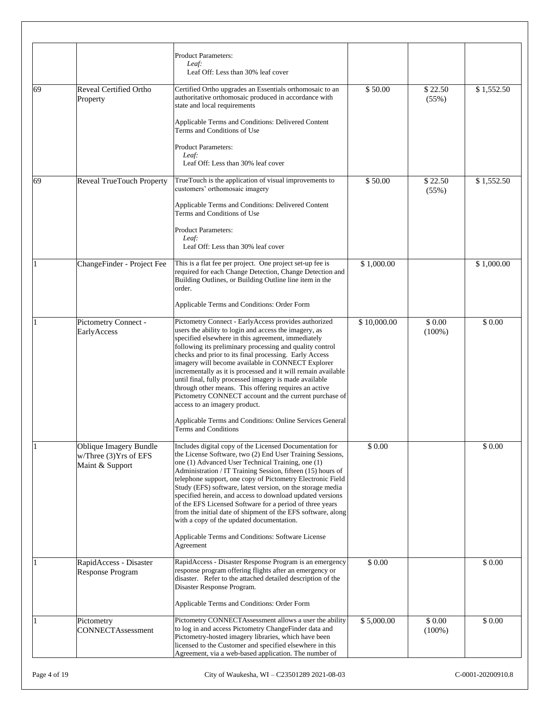|    |                                                                     | <b>Product Parameters:</b><br>Leaf:<br>Leaf Off: Less than 30% leaf cover                                                                                                                                                                                                                                                                                                                                                                                                                                                                                                                                                     |             |                     |            |
|----|---------------------------------------------------------------------|-------------------------------------------------------------------------------------------------------------------------------------------------------------------------------------------------------------------------------------------------------------------------------------------------------------------------------------------------------------------------------------------------------------------------------------------------------------------------------------------------------------------------------------------------------------------------------------------------------------------------------|-------------|---------------------|------------|
| 69 | <b>Reveal Certified Ortho</b><br>Property                           | Certified Ortho upgrades an Essentials orthomosaic to an<br>authoritative orthomosaic produced in accordance with<br>state and local requirements                                                                                                                                                                                                                                                                                                                                                                                                                                                                             | \$50.00     | \$22.50<br>(55%)    | \$1,552.50 |
|    |                                                                     | Applicable Terms and Conditions: Delivered Content<br>Terms and Conditions of Use                                                                                                                                                                                                                                                                                                                                                                                                                                                                                                                                             |             |                     |            |
|    |                                                                     | <b>Product Parameters:</b><br>Leaf:<br>Leaf Off: Less than 30% leaf cover                                                                                                                                                                                                                                                                                                                                                                                                                                                                                                                                                     |             |                     |            |
| 69 | Reveal TrueTouch Property                                           | TrueTouch is the application of visual improvements to<br>customers' orthomosaic imagery                                                                                                                                                                                                                                                                                                                                                                                                                                                                                                                                      | \$50.00     | \$22.50<br>(55%)    | \$1,552.50 |
|    |                                                                     | Applicable Terms and Conditions: Delivered Content<br>Terms and Conditions of Use                                                                                                                                                                                                                                                                                                                                                                                                                                                                                                                                             |             |                     |            |
|    |                                                                     | <b>Product Parameters:</b><br>Leaf:<br>Leaf Off: Less than 30% leaf cover                                                                                                                                                                                                                                                                                                                                                                                                                                                                                                                                                     |             |                     |            |
|    | ChangeFinder - Project Fee                                          | This is a flat fee per project. One project set-up fee is<br>required for each Change Detection, Change Detection and<br>Building Outlines, or Building Outline line item in the<br>order.                                                                                                                                                                                                                                                                                                                                                                                                                                    | \$1,000.00  |                     | \$1,000.00 |
|    |                                                                     | Applicable Terms and Conditions: Order Form                                                                                                                                                                                                                                                                                                                                                                                                                                                                                                                                                                                   |             |                     |            |
|    | Pictometry Connect -<br>EarlyAccess                                 | Pictometry Connect - EarlyAccess provides authorized<br>users the ability to login and access the imagery, as<br>specified elsewhere in this agreement, immediately<br>following its preliminary processing and quality control<br>checks and prior to its final processing. Early Access<br>imagery will become available in CONNECT Explorer<br>incrementally as it is processed and it will remain available<br>until final, fully processed imagery is made available<br>through other means. This offering requires an active<br>Pictometry CONNECT account and the current purchase of<br>access to an imagery product. | \$10,000.00 | \$0.00<br>$(100\%)$ | \$0.00     |
|    |                                                                     | Applicable Terms and Conditions: Online Services General<br><b>Terms and Conditions</b>                                                                                                                                                                                                                                                                                                                                                                                                                                                                                                                                       |             |                     |            |
|    | Oblique Imagery Bundle<br>w/Three (3) Yrs of EFS<br>Maint & Support | Includes digital copy of the Licensed Documentation for<br>the License Software, two (2) End User Training Sessions,<br>one (1) Advanced User Technical Training, one (1)<br>Administration / IT Training Session, fifteen (15) hours of<br>telephone support, one copy of Pictometry Electronic Field<br>Study (EFS) software, latest version, on the storage media<br>specified herein, and access to download updated versions<br>of the EFS Licensed Software for a period of three years<br>from the initial date of shipment of the EFS software, along<br>with a copy of the updated documentation.                    | \$0.00      |                     | \$0.00     |
|    |                                                                     | Applicable Terms and Conditions: Software License<br>Agreement                                                                                                                                                                                                                                                                                                                                                                                                                                                                                                                                                                |             |                     |            |
|    | RapidAccess - Disaster<br>Response Program                          | RapidAccess - Disaster Response Program is an emergency<br>response program offering flights after an emergency or<br>disaster. Refer to the attached detailed description of the<br>Disaster Response Program.                                                                                                                                                                                                                                                                                                                                                                                                               | \$ 0.00     |                     | \$ 0.00    |
|    |                                                                     | Applicable Terms and Conditions: Order Form                                                                                                                                                                                                                                                                                                                                                                                                                                                                                                                                                                                   |             |                     |            |
|    | Pictometry<br><b>CONNECTAssessment</b>                              | Pictometry CONNECTAssessment allows a user the ability<br>to log in and access Pictometry ChangeFinder data and<br>Pictometry-hosted imagery libraries, which have been<br>licensed to the Customer and specified elsewhere in this<br>Agreement, via a web-based application. The number of                                                                                                                                                                                                                                                                                                                                  | \$5,000.00  | \$0.00<br>$(100\%)$ | \$0.00     |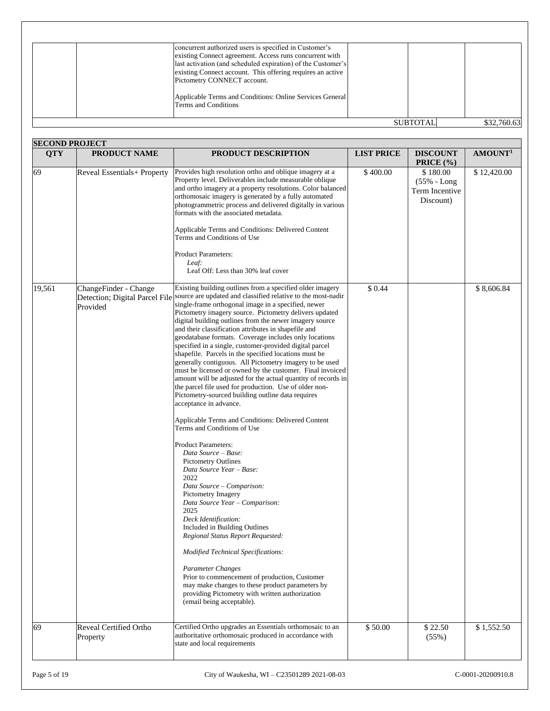| concurrent authorized users is specified in Customer's<br>existing Connect agreement. Access runs concurrent with<br>last activation (and scheduled expiration) of the Customer's<br>existing Connect account. This offering requires an active<br>Pictometry CONNECT account.<br>Applicable Terms and Conditions: Online Services General<br>Terms and Conditions |                 |             |
|--------------------------------------------------------------------------------------------------------------------------------------------------------------------------------------------------------------------------------------------------------------------------------------------------------------------------------------------------------------------|-----------------|-------------|
|                                                                                                                                                                                                                                                                                                                                                                    | <b>SUBTOTAL</b> | \$32,760.63 |

|            | <b>SECOND PROJECT</b>                                               |                                                                                                                                                                                                                                                                                                                                                                                                                                                                                                                                                                                                                                                                                                                                                                                                                                                                                                                                                                                                                                                                                                                                                                                                                                                                                                                                                                                                                                                                                                                                           |                   |                                                           |                     |
|------------|---------------------------------------------------------------------|-------------------------------------------------------------------------------------------------------------------------------------------------------------------------------------------------------------------------------------------------------------------------------------------------------------------------------------------------------------------------------------------------------------------------------------------------------------------------------------------------------------------------------------------------------------------------------------------------------------------------------------------------------------------------------------------------------------------------------------------------------------------------------------------------------------------------------------------------------------------------------------------------------------------------------------------------------------------------------------------------------------------------------------------------------------------------------------------------------------------------------------------------------------------------------------------------------------------------------------------------------------------------------------------------------------------------------------------------------------------------------------------------------------------------------------------------------------------------------------------------------------------------------------------|-------------------|-----------------------------------------------------------|---------------------|
| <b>QTY</b> | PRODUCT NAME                                                        | PRODUCT DESCRIPTION                                                                                                                                                                                                                                                                                                                                                                                                                                                                                                                                                                                                                                                                                                                                                                                                                                                                                                                                                                                                                                                                                                                                                                                                                                                                                                                                                                                                                                                                                                                       | <b>LIST PRICE</b> | <b>DISCOUNT</b><br><b>PRICE</b> $(\% )$                   | AMOUNT <sup>1</sup> |
| 69         | Reveal Essentials+ Property                                         | Provides high resolution ortho and oblique imagery at a<br>Property level. Deliverables include measurable oblique<br>and ortho imagery at a property resolutions. Color balanced<br>orthomosaic imagery is generated by a fully automated<br>photogrammetric process and delivered digitally in various<br>formats with the associated metadata.<br>Applicable Terms and Conditions: Delivered Content<br>Terms and Conditions of Use<br><b>Product Parameters:</b><br>Leaf:<br>Leaf Off: Less than 30% leaf cover                                                                                                                                                                                                                                                                                                                                                                                                                                                                                                                                                                                                                                                                                                                                                                                                                                                                                                                                                                                                                       | \$400.00          | \$180.00<br>$(55% - Long)$<br>Term Incentive<br>Discount) | \$12,420.00         |
| 19,561     | ChangeFinder - Change<br>Detection; Digital Parcel File<br>Provided | Existing building outlines from a specified older imagery<br>source are updated and classified relative to the most-nadir<br>single-frame orthogonal image in a specified, newer<br>Pictometry imagery source. Pictometry delivers updated<br>digital building outlines from the newer imagery source<br>and their classification attributes in shapefile and<br>geodatabase formats. Coverage includes only locations<br>specified in a single, customer-provided digital parcel<br>shapefile. Parcels in the specified locations must be<br>generally contiguous. All Pictometry imagery to be used<br>must be licensed or owned by the customer. Final invoiced<br>amount will be adjusted for the actual quantity of records in<br>the parcel file used for production. Use of older non-<br>Pictometry-sourced building outline data requires<br>acceptance in advance.<br>Applicable Terms and Conditions: Delivered Content<br>Terms and Conditions of Use<br><b>Product Parameters:</b><br>Data Source - Base:<br><b>Pictometry Outlines</b><br>Data Source Year - Base:<br>2022<br>Data Source - Comparison:<br>Pictometry Imagery<br>Data Source Year - Comparison:<br>2025<br>Deck Identification:<br>Included in Building Outlines<br>Regional Status Report Requested:<br><b>Modified Technical Specifications:</b><br>Parameter Changes<br>Prior to commencement of production, Customer<br>may make changes to these product parameters by<br>providing Pictometry with written authorization<br>(email being acceptable). | \$0.44            |                                                           | \$8,606.84          |
| 69         | Reveal Certified Ortho<br>Property                                  | Certified Ortho upgrades an Essentials orthomosaic to an<br>authoritative orthomosaic produced in accordance with<br>state and local requirements                                                                                                                                                                                                                                                                                                                                                                                                                                                                                                                                                                                                                                                                                                                                                                                                                                                                                                                                                                                                                                                                                                                                                                                                                                                                                                                                                                                         | \$50.00           | \$22.50<br>(55%)                                          | \$1,552.50          |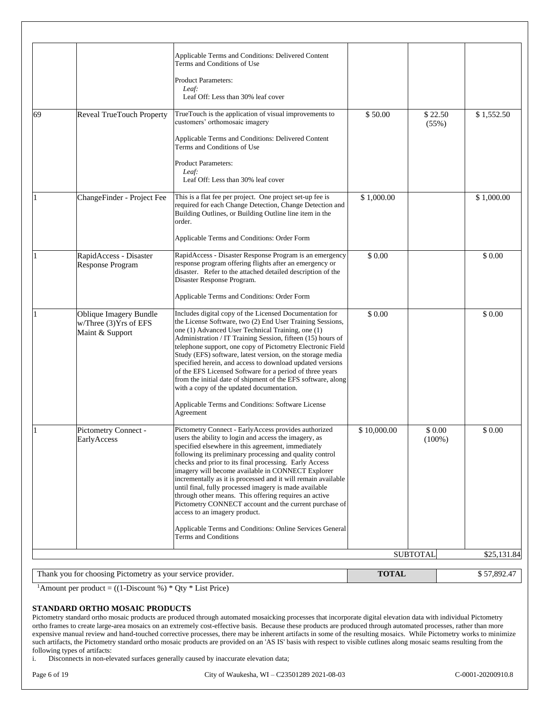|    | Thank you for choosing Pictometry as your service provider.          |                                                                                                                                                                                                                                                                                                                                                                                                                                                                                                                                                                                                                                | <b>TOTAL</b>      |                     | $\overline{\$}$ 57,892.47 |
|----|----------------------------------------------------------------------|--------------------------------------------------------------------------------------------------------------------------------------------------------------------------------------------------------------------------------------------------------------------------------------------------------------------------------------------------------------------------------------------------------------------------------------------------------------------------------------------------------------------------------------------------------------------------------------------------------------------------------|-------------------|---------------------|---------------------------|
|    |                                                                      |                                                                                                                                                                                                                                                                                                                                                                                                                                                                                                                                                                                                                                |                   | <b>SUBTOTAL</b>     | \$25,131.84               |
|    |                                                                      | Applicable Terms and Conditions: Online Services General<br>Terms and Conditions                                                                                                                                                                                                                                                                                                                                                                                                                                                                                                                                               |                   |                     |                           |
|    | Pictometry Connect -<br>EarlyAccess                                  | Pictometry Connect - Early Access provides authorized<br>users the ability to login and access the imagery, as<br>specified elsewhere in this agreement, immediately<br>following its preliminary processing and quality control<br>checks and prior to its final processing. Early Access<br>imagery will become available in CONNECT Explorer<br>incrementally as it is processed and it will remain available<br>until final, fully processed imagery is made available<br>through other means. This offering requires an active<br>Pictometry CONNECT account and the current purchase of<br>access to an imagery product. | \$10,000.00       | \$0.00<br>$(100\%)$ | \$ 0.00                   |
|    | w/Three (3) Yrs of EFS<br>Maint & Support                            | the License Software, two (2) End User Training Sessions,<br>one (1) Advanced User Technical Training, one (1)<br>Administration / IT Training Session, fifteen (15) hours of<br>telephone support, one copy of Pictometry Electronic Field<br>Study (EFS) software, latest version, on the storage media<br>specified herein, and access to download updated versions<br>of the EFS Licensed Software for a period of three years<br>from the initial date of shipment of the EFS software, along<br>with a copy of the updated documentation.<br>Applicable Terms and Conditions: Software License<br>Agreement              |                   |                     |                           |
|    | RapidAccess - Disaster<br>Response Program<br>Oblique Imagery Bundle | RapidAccess - Disaster Response Program is an emergency<br>response program offering flights after an emergency or<br>disaster. Refer to the attached detailed description of the<br>Disaster Response Program.<br>Applicable Terms and Conditions: Order Form<br>Includes digital copy of the Licensed Documentation for                                                                                                                                                                                                                                                                                                      | \$ 0.00<br>\$0.00 |                     | \$0.00<br>\$0.00          |
|    | ChangeFinder - Project Fee                                           | This is a flat fee per project. One project set-up fee is<br>required for each Change Detection, Change Detection and<br>Building Outlines, or Building Outline line item in the<br>order.<br>Applicable Terms and Conditions: Order Form                                                                                                                                                                                                                                                                                                                                                                                      | \$1,000.00        |                     | \$1,000.00                |
|    |                                                                      | customers' orthomosaic imagery<br>Applicable Terms and Conditions: Delivered Content<br>Terms and Conditions of Use<br><b>Product Parameters:</b><br>Leaf:<br>Leaf Off: Less than 30% leaf cover                                                                                                                                                                                                                                                                                                                                                                                                                               |                   | (55%)               |                           |
| 69 | Reveal TrueTouch Property                                            | Applicable Terms and Conditions: Delivered Content<br>Terms and Conditions of Use<br><b>Product Parameters:</b><br>Leaf:<br>Leaf Off: Less than 30% leaf cover<br>TrueTouch is the application of visual improvements to                                                                                                                                                                                                                                                                                                                                                                                                       | \$50.00           | \$22.50             | \$1,552.50                |

<sup>1</sup>Amount per product =  $((1-Discount \%) * Qty * List Price)$ 

### **STANDARD ORTHO MOSAIC PRODUCTS**

Pictometry standard ortho mosaic products are produced through automated mosaicking processes that incorporate digital elevation data with individual Pictometry ortho frames to create large-area mosaics on an extremely cost-effective basis. Because these products are produced through automated processes, rather than more expensive manual review and hand-touched corrective processes, there may be inherent artifacts in some of the resulting mosaics. While Pictometry works to minimize such artifacts, the Pictometry standard ortho mosaic products are provided on an 'AS IS' basis with respect to visible cutlines along mosaic seams resulting from the following types of artifacts:

i. Disconnects in non-elevated surfaces generally caused by inaccurate elevation data;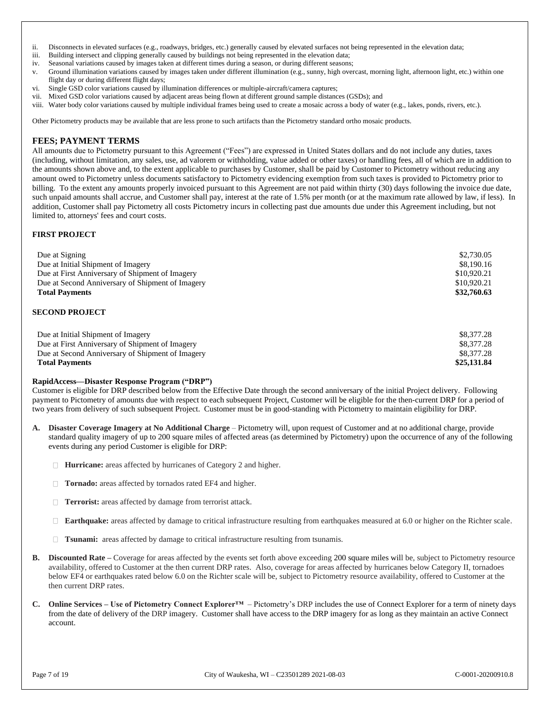- ii. Disconnects in elevated surfaces (e.g., roadways, bridges, etc.) generally caused by elevated surfaces not being represented in the elevation data;
- iii. Building intersect and clipping generally caused by buildings not being represented in the elevation data;
- iv. Seasonal variations caused by images taken at different times during a season, or during different seasons;
- v. Ground illumination variations caused by images taken under different illumination (e.g., sunny, high overcast, morning light, afternoon light, etc.) within one flight day or during different flight days;
- vi. Single GSD color variations caused by illumination differences or multiple-aircraft/camera captures;
- vii. Mixed GSD color variations caused by adjacent areas being flown at different ground sample distances (GSDs); and
- viii. Water body color variations caused by multiple individual frames being used to create a mosaic across a body of water (e.g., lakes, ponds, rivers, etc.).

Other Pictometry products may be available that are less prone to such artifacts than the Pictometry standard ortho mosaic products.

### **FEES; PAYMENT TERMS**

All amounts due to Pictometry pursuant to this Agreement ("Fees") are expressed in United States dollars and do not include any duties, taxes (including, without limitation, any sales, use, ad valorem or withholding, value added or other taxes) or handling fees, all of which are in addition to the amounts shown above and, to the extent applicable to purchases by Customer, shall be paid by Customer to Pictometry without reducing any amount owed to Pictometry unless documents satisfactory to Pictometry evidencing exemption from such taxes is provided to Pictometry prior to billing. To the extent any amounts properly invoiced pursuant to this Agreement are not paid within thirty (30) days following the invoice due date, such unpaid amounts shall accrue, and Customer shall pay, interest at the rate of 1.5% per month (or at the maximum rate allowed by law, if less). In addition, Customer shall pay Pictometry all costs Pictometry incurs in collecting past due amounts due under this Agreement including, but not limited to, attorneys' fees and court costs.

### **FIRST PROJECT**

| Due at Signing                                   | \$2,730.05  |
|--------------------------------------------------|-------------|
| Due at Initial Shipment of Imagery               | \$8,190.16  |
| Due at First Anniversary of Shipment of Imagery  | \$10,920.21 |
| Due at Second Anniversary of Shipment of Imagery | \$10,920.21 |
| <b>Total Payments</b>                            | \$32,760.63 |
|                                                  |             |

#### **SECOND PROJECT**

| Due at Initial Shipment of Imagery               | \$8,377.28  |
|--------------------------------------------------|-------------|
| Due at First Anniversary of Shipment of Imagery  | \$8,377.28  |
| Due at Second Anniversary of Shipment of Imagery | \$8,377.28  |
| <b>Total Payments</b>                            | \$25,131.84 |

#### **RapidAccess—Disaster Response Program ("DRP")**

Customer is eligible for DRP described below from the Effective Date through the second anniversary of the initial Project delivery. Following payment to Pictometry of amounts due with respect to each subsequent Project, Customer will be eligible for the then-current DRP for a period of two years from delivery of such subsequent Project. Customer must be in good-standing with Pictometry to maintain eligibility for DRP.

- **A. Disaster Coverage Imagery at No Additional Charge**  Pictometry will, upon request of Customer and at no additional charge, provide standard quality imagery of up to 200 square miles of affected areas (as determined by Pictometry) upon the occurrence of any of the following events during any period Customer is eligible for DRP:
	- **Hurricane:** areas affected by hurricanes of Category 2 and higher.
	- **Tornado:** areas affected by tornados rated EF4 and higher.
	- **Terrorist:** areas affected by damage from terrorist attack.
	- **Earthquake:** areas affected by damage to critical infrastructure resulting from earthquakes measured at 6.0 or higher on the Richter scale.
	- **Tsunami:** areas affected by damage to critical infrastructure resulting from tsunamis.
- **B.** Discounted Rate Coverage for areas affected by the events set forth above exceeding 200 square miles will be, subject to Pictometry resource availability, offered to Customer at the then current DRP rates.Also, coverage for areas affected by hurricanes below Category II, tornadoes below EF4 or earthquakes rated below 6.0 on the Richter scale will be, subject to Pictometry resource availability, offered to Customer at the then current DRP rates.
- **C. Online Services – Use of Pictometry Connect Explorer™**  Pictometry's DRP includes the use of Connect Explorer for a term of ninety days from the date of delivery of the DRP imagery. Customer shall have access to the DRP imagery for as long as they maintain an active Connect account.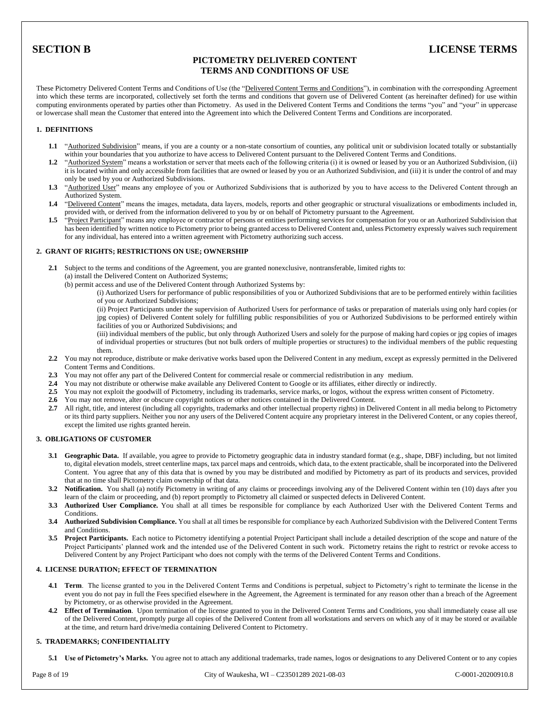## **SECTION B LICENSE TERMS**

### **PICTOMETRY DELIVERED CONTENT TERMS AND CONDITIONS OF USE**

These Pictometry Delivered Content Terms and Conditions of Use (the "Delivered Content Terms and Conditions"), in combination with the corresponding Agreement into which these terms are incorporated, collectively set forth the terms and conditions that govern use of Delivered Content (as hereinafter defined) for use within computing environments operated by parties other than Pictometry. As used in the Delivered Content Terms and Conditions the terms "you" and "your" in uppercase or lowercase shall mean the Customer that entered into the Agreement into which the Delivered Content Terms and Conditions are incorporated.

#### **1. DEFINITIONS**

- **1.1** "Authorized Subdivision" means, if you are a county or a non-state consortium of counties, any political unit or subdivision located totally or substantially within your boundaries that you authorize to have access to Delivered Content pursuant to the Delivered Content Terms and Conditions.
- **1.2** "Authorized System" means a workstation or server that meets each of the following criteria (i) it is owned or leased by you or an Authorized Subdivision, (ii) it is located within and only accessible from facilities that are owned or leased by you or an Authorized Subdivision, and (iii) it is under the control of and may only be used by you or Authorized Subdivisions.
- 1.3 "Authorized User" means any employee of you or Authorized Subdivisions that is authorized by you to have access to the Delivered Content through an Authorized System.
- **1.4** "Delivered Content" means the images, metadata, data layers, models, reports and other geographic or structural visualizations or embodiments included in, provided with, or derived from the information delivered to you by or on behalf of Pictometry pursuant to the Agreement.
- **1.5** "Project Participant" means any employee or contractor of persons or entities performing services for compensation for you or an Authorized Subdivision that has been identified by written notice to Pictometry prior to being granted access to Delivered Content and, unless Pictometry expressly waives such requirement for any individual, has entered into a written agreement with Pictometry authorizing such access.

#### **2. GRANT OF RIGHTS; RESTRICTIONS ON USE; OWNERSHIP**

- **2.1** Subject to the terms and conditions of the Agreement, you are granted nonexclusive, nontransferable, limited rights to:
	- (a) install the Delivered Content on Authorized Systems;
		- (b) permit access and use of the Delivered Content through Authorized Systems by:

(i) Authorized Users for performance of public responsibilities of you or Authorized Subdivisions that are to be performed entirely within facilities of you or Authorized Subdivisions;

(ii) Project Participants under the supervision of Authorized Users for performance of tasks or preparation of materials using only hard copies (or jpg copies) of Delivered Content solely for fulfilling public responsibilities of you or Authorized Subdivisions to be performed entirely within facilities of you or Authorized Subdivisions; and

(iii) individual members of the public, but only through Authorized Users and solely for the purpose of making hard copies or jpg copies of images of individual properties or structures (but not bulk orders of multiple properties or structures) to the individual members of the public requesting them.

- **2.2** You may not reproduce, distribute or make derivative works based upon the Delivered Content in any medium, except as expressly permitted in the Delivered Content Terms and Conditions.
- **2.3** You may not offer any part of the Delivered Content for commercial resale or commercial redistribution in any medium.
- **2.4** You may not distribute or otherwise make available any Delivered Content to Google or its affiliates, either directly or indirectly.
- **2.5** You may not exploit the goodwill of Pictometry, including its trademarks, service marks, or logos, without the express written consent of Pictometry.
- **2.6** You may not remove, alter or obscure copyright notices or other notices contained in the Delivered Content.
- **2.7** All right, title, and interest (including all copyrights, trademarks and other intellectual property rights) in Delivered Content in all media belong to Pictometry or its third party suppliers. Neither you nor any users of the Delivered Content acquire any proprietary interest in the Delivered Content, or any copies thereof, except the limited use rights granted herein.

#### **3. OBLIGATIONS OF CUSTOMER**

- **3.1 Geographic Data.** If available, you agree to provide to Pictometry geographic data in industry standard format (e.g., shape, DBF) including, but not limited to, digital elevation models, street centerline maps, tax parcel maps and centroids, which data, to the extent practicable, shall be incorporated into the Delivered Content. You agree that any of this data that is owned by you may be distributed and modified by Pictometry as part of its products and services, provided that at no time shall Pictometry claim ownership of that data.
- **3.2 Notification.** You shall (a) notify Pictometry in writing of any claims or proceedings involving any of the Delivered Content within ten (10) days after you learn of the claim or proceeding, and (b) report promptly to Pictometry all claimed or suspected defects in Delivered Content.
- **3.3 Authorized User Compliance.** You shall at all times be responsible for compliance by each Authorized User with the Delivered Content Terms and **Conditions**.
- **3.4 Authorized Subdivision Compliance.** You shall at all times be responsible for compliance by each Authorized Subdivision with the Delivered Content Terms and Conditions.
- **3.5 Project Participants.** Each notice to Pictometry identifying a potential Project Participant shall include a detailed description of the scope and nature of the Project Participants' planned work and the intended use of the Delivered Content in such work. Pictometry retains the right to restrict or revoke access to Delivered Content by any Project Participant who does not comply with the terms of the Delivered Content Terms and Conditions.

#### **4. LICENSE DURATION; EFFECT OF TERMINATION**

- **4.1 Term**. The license granted to you in the Delivered Content Terms and Conditions is perpetual, subject to Pictometry's right to terminate the license in the event you do not pay in full the Fees specified elsewhere in the Agreement, the Agreement is terminated for any reason other than a breach of the Agreement by Pictometry, or as otherwise provided in the Agreement.
- **4.2 Effect of Termination**. Upon termination of the license granted to you in the Delivered Content Terms and Conditions, you shall immediately cease all use of the Delivered Content, promptly purge all copies of the Delivered Content from all workstations and servers on which any of it may be stored or available at the time, and return hard drive/media containing Delivered Content to Pictometry.

#### **5. TRADEMARKS; CONFIDENTIALITY**

**5.1 Use of Pictometry's Marks.** You agree not to attach any additional trademarks, trade names, logos or designations to any Delivered Content or to any copies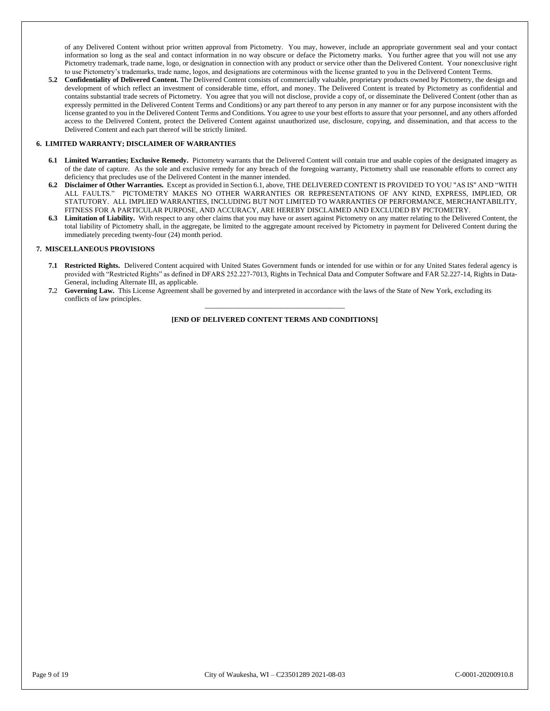of any Delivered Content without prior written approval from Pictometry. You may, however, include an appropriate government seal and your contact information so long as the seal and contact information in no way obscure or deface the Pictometry marks. You further agree that you will not use any Pictometry trademark, trade name, logo, or designation in connection with any product or service other than the Delivered Content. Your nonexclusive right to use Pictometry's trademarks, trade name, logos, and designations are coterminous with the license granted to you in the Delivered Content Terms.

**5.2 Confidentiality of Delivered Content.** The Delivered Content consists of commercially valuable, proprietary products owned by Pictometry, the design and development of which reflect an investment of considerable time, effort, and money. The Delivered Content is treated by Pictometry as confidential and contains substantial trade secrets of Pictometry. You agree that you will not disclose, provide a copy of, or disseminate the Delivered Content (other than as expressly permitted in the Delivered Content Terms and Conditions) or any part thereof to any person in any manner or for any purpose inconsistent with the license granted to you in the Delivered Content Terms and Conditions. You agree to use your best efforts to assure that your personnel, and any others afforded access to the Delivered Content, protect the Delivered Content against unauthorized use, disclosure, copying, and dissemination, and that access to the Delivered Content and each part thereof will be strictly limited.

#### **6. LIMITED WARRANTY; DISCLAIMER OF WARRANTIES**

- **6.1 Limited Warranties; Exclusive Remedy.** Pictometry warrants that the Delivered Content will contain true and usable copies of the designated imagery as of the date of capture. As the sole and exclusive remedy for any breach of the foregoing warranty, Pictometry shall use reasonable efforts to correct any deficiency that precludes use of the Delivered Content in the manner intended.
- **6.2 Disclaimer of Other Warranties.** Except as provided in Section 6.1, above, THE DELIVERED CONTENT IS PROVIDED TO YOU "AS IS" AND "WITH ALL FAULTS." PICTOMETRY MAKES NO OTHER WARRANTIES OR REPRESENTATIONS OF ANY KIND, EXPRESS, IMPLIED, OR STATUTORY. ALL IMPLIED WARRANTIES, INCLUDING BUT NOT LIMITED TO WARRANTIES OF PERFORMANCE, MERCHANTABILITY, FITNESS FOR A PARTICULAR PURPOSE, AND ACCURACY, ARE HEREBY DISCLAIMED AND EXCLUDED BY PICTOMETRY.
- **6.3 Limitation of Liability.** With respect to any other claims that you may have or assert against Pictometry on any matter relating to the Delivered Content, the total liability of Pictometry shall, in the aggregate, be limited to the aggregate amount received by Pictometry in payment for Delivered Content during the immediately preceding twenty-four (24) month period.

#### **7. MISCELLANEOUS PROVISIONS**

- **7.1 Restricted Rights.** Delivered Content acquired with United States Government funds or intended for use within or for any United States federal agency is provided with "Restricted Rights" as defined in DFARS 252.227-7013, Rights in Technical Data and Computer Software and FAR 52.227-14, Rights in Data-General, including Alternate III, as applicable.
- **7.**2 **Governing Law.** This License Agreement shall be governed by and interpreted in accordance with the laws of the State of New York, excluding its conflicts of law principles.

**\_\_\_\_\_\_\_\_\_\_\_\_\_\_\_\_\_\_\_\_\_\_\_\_\_\_\_\_\_\_\_\_\_\_\_\_\_\_\_\_\_\_\_\_\_\_\_\_\_\_\_\_ [END OF DELIVERED CONTENT TERMS AND CONDITIONS]**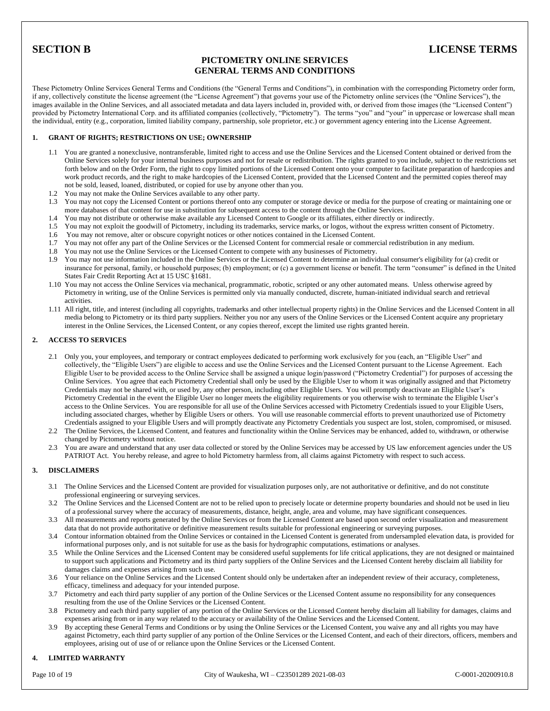## **SECTION B LICENSE TERMS**

### **PICTOMETRY ONLINE SERVICES GENERAL TERMS AND CONDITIONS**

These Pictometry Online Services General Terms and Conditions (the "General Terms and Conditions"), in combination with the corresponding Pictometry order form, if any, collectively constitute the license agreement (the "License Agreement") that governs your use of the Pictometry online services (the "Online Services"), the images available in the Online Services, and all associated metadata and data layers included in, provided with, or derived from those images (the "Licensed Content") provided by Pictometry International Corp. and its affiliated companies (collectively, "Pictometry"). The terms "you" and "your" in uppercase or lowercase shall mean the individual, entity (e.g., corporation, limited liability company, partnership, sole proprietor, etc.) or government agency entering into the License Agreement.

#### **1. GRANT OF RIGHTS; RESTRICTIONS ON USE; OWNERSHIP**

- 1.1 You are granted a nonexclusive, nontransferable, limited right to access and use the Online Services and the Licensed Content obtained or derived from the Online Services solely for your internal business purposes and not for resale or redistribution. The rights granted to you include, subject to the restrictions set forth below and on the Order Form, the right to copy limited portions of the Licensed Content onto your computer to facilitate preparation of hardcopies and work product records, and the right to make hardcopies of the Licensed Content, provided that the Licensed Content and the permitted copies thereof may not be sold, leased, loaned, distributed, or copied for use by anyone other than you.
- 1.2 You may not make the Online Services available to any other party.
- 1.3 You may not copy the Licensed Content or portions thereof onto any computer or storage device or media for the purpose of creating or maintaining one or more databases of that content for use in substitution for subsequent access to the content through the Online Services.
- 1.4 You may not distribute or otherwise make available any Licensed Content to Google or its affiliates, either directly or indirectly.
- 1.5 You may not exploit the goodwill of Pictometry, including its trademarks, service marks, or logos, without the express written consent of Pictometry.
- 1.6 You may not remove, alter or obscure copyright notices or other notices contained in the Licensed Content.
- 1.7 You may not offer any part of the Online Services or the Licensed Content for commercial resale or commercial redistribution in any medium.
- 1.8 You may not use the Online Services or the Licensed Content to compete with any businesses of Pictometry.
- 1.9 You may not use information included in the Online Services or the Licensed Content to determine an individual consumer's eligibility for (a) credit or insurance for personal, family, or household purposes; (b) employment; or (c) a government license or benefit. The term "consumer" is defined in the United States Fair Credit Reporting Act at 15 USC §1681.
- 1.10 You may not access the Online Services via mechanical, programmatic, robotic, scripted or any other automated means. Unless otherwise agreed by Pictometry in writing, use of the Online Services is permitted only via manually conducted, discrete, human-initiated individual search and retrieval activities.
- 1.11 All right, title, and interest (including all copyrights, trademarks and other intellectual property rights) in the Online Services and the Licensed Content in all media belong to Pictometry or its third party suppliers. Neither you nor any users of the Online Services or the Licensed Content acquire any proprietary interest in the Online Services, the Licensed Content, or any copies thereof, except the limited use rights granted herein.

#### **2. ACCESS TO SERVICES**

- 2.1 Only you, your employees, and temporary or contract employees dedicated to performing work exclusively for you (each, an "Eligible User" and collectively, the "Eligible Users") are eligible to access and use the Online Services and the Licensed Content pursuant to the License Agreement. Each Eligible User to be provided access to the Online Service shall be assigned a unique login/password ("Pictometry Credential") for purposes of accessing the Online Services. You agree that each Pictometry Credential shall only be used by the Eligible User to whom it was originally assigned and that Pictometry Credentials may not be shared with, or used by, any other person, including other Eligible Users. You will promptly deactivate an Eligible User's Pictometry Credential in the event the Eligible User no longer meets the eligibility requirements or you otherwise wish to terminate the Eligible User's access to the Online Services. You are responsible for all use of the Online Services accessed with Pictometry Credentials issued to your Eligible Users, including associated charges, whether by Eligible Users or others. You will use reasonable commercial efforts to prevent unauthorized use of Pictometry Credentials assigned to your Eligible Users and will promptly deactivate any Pictometry Credentials you suspect are lost, stolen, compromised, or misused.
- 2.2 The Online Services, the Licensed Content, and features and functionality within the Online Services may be enhanced, added to, withdrawn, or otherwise changed by Pictometry without notice.
- 2.3 You are aware and understand that any user data collected or stored by the Online Services may be accessed by US law enforcement agencies under the US PATRIOT Act. You hereby release, and agree to hold Pictometry harmless from, all claims against Pictometry with respect to such access.

#### **3. DISCLAIMERS**

- 3.1 The Online Services and the Licensed Content are provided for visualization purposes only, are not authoritative or definitive, and do not constitute professional engineering or surveying services.
- 3.2 The Online Services and the Licensed Content are not to be relied upon to precisely locate or determine property boundaries and should not be used in lieu of a professional survey where the accuracy of measurements, distance, height, angle, area and volume, may have significant consequences.
- 3.3 All measurements and reports generated by the Online Services or from the Licensed Content are based upon second order visualization and measurement data that do not provide authoritative or definitive measurement results suitable for professional engineering or surveying purposes.
- 3.4 Contour information obtained from the Online Services or contained in the Licensed Content is generated from undersampled elevation data, is provided for informational purposes only, and is not suitable for use as the basis for hydrographic computations, estimations or analyses.
- 3.5 While the Online Services and the Licensed Content may be considered useful supplements for life critical applications, they are not designed or maintained to support such applications and Pictometry and its third party suppliers of the Online Services and the Licensed Content hereby disclaim all liability for damages claims and expenses arising from such use.
- 3.6 Your reliance on the Online Services and the Licensed Content should only be undertaken after an independent review of their accuracy, completeness, efficacy, timeliness and adequacy for your intended purpose.
- 3.7 Pictometry and each third party supplier of any portion of the Online Services or the Licensed Content assume no responsibility for any consequences resulting from the use of the Online Services or the Licensed Content.
- 3.8 Pictometry and each third party supplier of any portion of the Online Services or the Licensed Content hereby disclaim all liability for damages, claims and expenses arising from or in any way related to the accuracy or availability of the Online Services and the Licensed Content.
- 3.9 By accepting these General Terms and Conditions or by using the Online Services or the Licensed Content, you waive any and all rights you may have against Pictometry, each third party supplier of any portion of the Online Services or the Licensed Content, and each of their directors, officers, members and employees, arising out of use of or reliance upon the Online Services or the Licensed Content.

#### **4. LIMITED WARRANTY**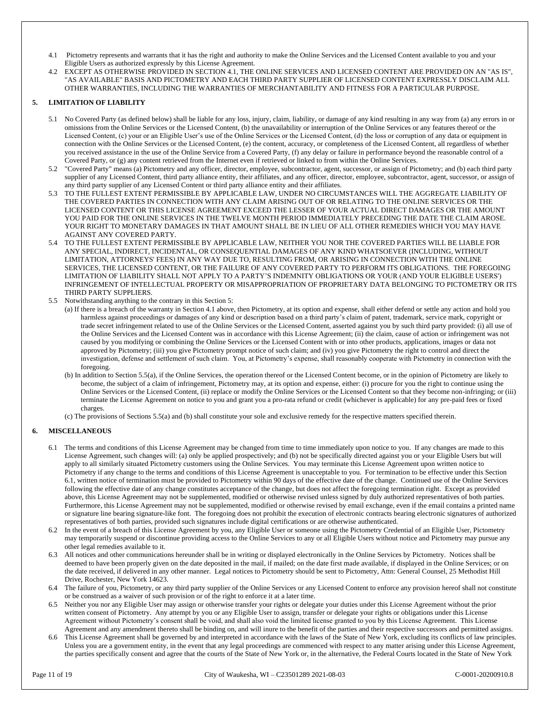- 4.1 Pictometry represents and warrants that it has the right and authority to make the Online Services and the Licensed Content available to you and your Eligible Users as authorized expressly by this License Agreement.
- 4.2 EXCEPT AS OTHERWISE PROVIDED IN SECTION 4.1, THE ONLINE SERVICES AND LICENSED CONTENT ARE PROVIDED ON AN "AS IS", "AS AVAILABLE" BASIS AND PICTOMETRY AND EACH THIRD PARTY SUPPLIER OF LICENSED CONTENT EXPRESSLY DISCLAIM ALL OTHER WARRANTIES, INCLUDING THE WARRANTIES OF MERCHANTABILITY AND FITNESS FOR A PARTICULAR PURPOSE.

#### **5. LIMITATION OF LIABILITY**

- 5.1 No Covered Party (as defined below) shall be liable for any loss, injury, claim, liability, or damage of any kind resulting in any way from (a) any errors in or omissions from the Online Services or the Licensed Content, (b) the unavailability or interruption of the Online Services or any features thereof or the Licensed Content, (c) your or an Eligible User's use of the Online Services or the Licensed Content, (d) the loss or corruption of any data or equipment in connection with the Online Services or the Licensed Content, (e) the content, accuracy, or completeness of the Licensed Content, all regardless of whether you received assistance in the use of the Online Service from a Covered Party, (f) any delay or failure in performance beyond the reasonable control of a Covered Party, or (g) any content retrieved from the Internet even if retrieved or linked to from within the Online Services.
- 5.2 "Covered Party" means (a) Pictometry and any officer, director, employee, subcontractor, agent, successor, or assign of Pictometry; and (b) each third party supplier of any Licensed Content, third party alliance entity, their affiliates, and any officer, director, employee, subcontractor, agent, successor, or assign of any third party supplier of any Licensed Content or third party alliance entity and their affiliates.
- 5.3 TO THE FULLEST EXTENT PERMISSIBLE BY APPLICABLE LAW, UNDER NO CIRCUMSTANCES WILL THE AGGREGATE LIABILITY OF THE COVERED PARTIES IN CONNECTION WITH ANY CLAIM ARISING OUT OF OR RELATING TO THE ONLINE SERVICES OR THE LICENSED CONTENT OR THIS LICENSE AGREEMENT EXCEED THE LESSER OF YOUR ACTUAL DIRECT DAMAGES OR THE AMOUNT YOU PAID FOR THE ONLINE SERVICES IN THE TWELVE MONTH PERIOD IMMEDIATELY PRECEDING THE DATE THE CLAIM AROSE. YOUR RIGHT TO MONETARY DAMAGES IN THAT AMOUNT SHALL BE IN LIEU OF ALL OTHER REMEDIES WHICH YOU MAY HAVE AGAINST ANY COVERED PARTY.
- 5.4 TO THE FULLEST EXTENT PERMISSIBLE BY APPLICABLE LAW, NEITHER YOU NOR THE COVERED PARTIES WILL BE LIABLE FOR ANY SPECIAL, INDIRECT, INCIDENTAL, OR CONSEQUENTIAL DAMAGES OF ANY KIND WHATSOEVER (INCLUDING, WITHOUT LIMITATION, ATTORNEYS' FEES) IN ANY WAY DUE TO, RESULTING FROM, OR ARISING IN CONNECTION WITH THE ONLINE SERVICES, THE LICENSED CONTENT, OR THE FAILURE OF ANY COVERED PARTY TO PERFORM ITS OBLIGATIONS. THE FOREGOING LIMITATION OF LIABILITY SHALL NOT APPLY TO A PARTY'S INDEMNITY OBLIGATIONS OR YOUR (AND YOUR ELIGIBLE USERS') INFRINGEMENT OF INTELLECTUAL PROPERTY OR MISAPPROPRIATION OF PROPRIETARY DATA BELONGING TO PICTOMETRY OR ITS THIRD PARTY SUPPLIERS.
- 5.5 Notwithstanding anything to the contrary in this Section 5:
	- (a) If there is a breach of the warranty in Section 4.1 above, then Pictometry, at its option and expense, shall either defend or settle any action and hold you harmless against proceedings or damages of any kind or description based on a third party's claim of patent, trademark, service mark, copyright or trade secret infringement related to use of the Online Services or the Licensed Content, asserted against you by such third party provided: (i) all use of the Online Services and the Licensed Content was in accordance with this License Agreement; (ii) the claim, cause of action or infringement was not caused by you modifying or combining the Online Services or the Licensed Content with or into other products, applications, images or data not approved by Pictometry; (iii) you give Pictometry prompt notice of such claim; and (iv) you give Pictometry the right to control and direct the investigation, defense and settlement of such claim. You, at Pictometry's expense, shall reasonably cooperate with Pictometry in connection with the foregoing.
	- (b) In addition to Section 5.5(a), if the Online Services, the operation thereof or the Licensed Content become, or in the opinion of Pictometry are likely to become, the subject of a claim of infringement, Pictometry may, at its option and expense, either: (i) procure for you the right to continue using the Online Services or the Licensed Content, (ii) replace or modify the Online Services or the Licensed Content so that they become non-infringing; or (iii) terminate the License Agreement on notice to you and grant you a pro-rata refund or credit (whichever is applicable) for any pre-paid fees or fixed charges.
	- (c) The provisions of Sections 5.5(a) and (b) shall constitute your sole and exclusive remedy for the respective matters specified therein.

#### **6. MISCELLANEOUS**

- 6.1 The terms and conditions of this License Agreement may be changed from time to time immediately upon notice to you. If any changes are made to this License Agreement, such changes will: (a) only be applied prospectively; and (b) not be specifically directed against you or your Eligible Users but will apply to all similarly situated Pictometry customers using the Online Services. You may terminate this License Agreement upon written notice to Pictometry if any change to the terms and conditions of this License Agreement is unacceptable to you. For termination to be effective under this Section 6.1, written notice of termination must be provided to Pictometry within 90 days of the effective date of the change. Continued use of the Online Services following the effective date of any change constitutes acceptance of the change, but does not affect the foregoing termination right. Except as provided above, this License Agreement may not be supplemented, modified or otherwise revised unless signed by duly authorized representatives of both parties. Furthermore, this License Agreement may not be supplemented, modified or otherwise revised by email exchange, even if the email contains a printed name or signature line bearing signature-like font. The foregoing does not prohibit the execution of electronic contracts bearing electronic signatures of authorized representatives of both parties, provided such signatures include digital certifications or are otherwise authenticated.
- 6.2 In the event of a breach of this License Agreement by you, any Eligible User or someone using the Pictometry Credential of an Eligible User, Pictometry may temporarily suspend or discontinue providing access to the Online Services to any or all Eligible Users without notice and Pictometry may pursue any other legal remedies available to it.
- 6.3 All notices and other communications hereunder shall be in writing or displayed electronically in the Online Services by Pictometry. Notices shall be deemed to have been properly given on the date deposited in the mail, if mailed; on the date first made available, if displayed in the Online Services; or on the date received, if delivered in any other manner. Legal notices to Pictometry should be sent to Pictometry, Attn: General Counsel, 25 Methodist Hill Drive, Rochester, New York 14623.
- 6.4 The failure of you, Pictometry, or any third party supplier of the Online Services or any Licensed Content to enforce any provision hereof shall not constitute or be construed as a waiver of such provision or of the right to enforce it at a later time.
- 6.5 Neither you nor any Eligible User may assign or otherwise transfer your rights or delegate your duties under this License Agreement without the prior written consent of Pictometry. Any attempt by you or any Eligible User to assign, transfer or delegate your rights or obligations under this License Agreement without Pictometry's consent shall be void, and shall also void the limited license granted to you by this License Agreement. This License Agreement and any amendment thereto shall be binding on, and will inure to the benefit of the parties and their respective successors and permitted assigns.
- 6.6 This License Agreement shall be governed by and interpreted in accordance with the laws of the State of New York, excluding its conflicts of law principles. Unless you are a government entity, in the event that any legal proceedings are commenced with respect to any matter arising under this License Agreement, the parties specifically consent and agree that the courts of the State of New York or, in the alternative, the Federal Courts located in the State of New York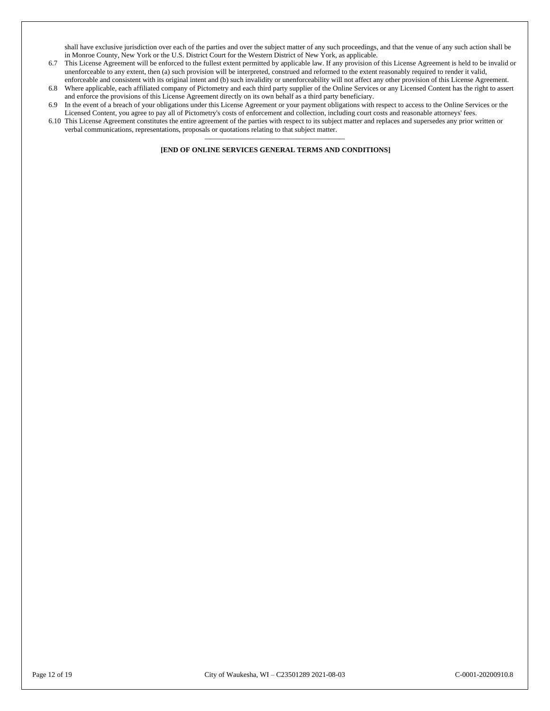shall have exclusive jurisdiction over each of the parties and over the subject matter of any such proceedings, and that the venue of any such action shall be in Monroe County, New York or the U.S. District Court for the Western District of New York, as applicable.

- 6.7 This License Agreement will be enforced to the fullest extent permitted by applicable law. If any provision of this License Agreement is held to be invalid or unenforceable to any extent, then (a) such provision will be interpreted, construed and reformed to the extent reasonably required to render it valid, enforceable and consistent with its original intent and (b) such invalidity or unenforceability will not affect any other provision of this License Agreement.
- 6.8 Where applicable, each affiliated company of Pictometry and each third party supplier of the Online Services or any Licensed Content has the right to assert and enforce the provisions of this License Agreement directly on its own behalf as a third party beneficiary.
- 6.9 In the event of a breach of your obligations under this License Agreement or your payment obligations with respect to access to the Online Services or the Licensed Content, you agree to pay all of Pictometry's costs of enforcement and collection, including court costs and reasonable attorneys' fees.
- 6.10 This License Agreement constitutes the entire agreement of the parties with respect to its subject matter and replaces and supersedes any prior written or verbal communications, representations, proposals or quotations relating to that subject matter. **\_\_\_\_\_\_\_\_\_\_\_\_\_\_\_\_\_\_\_\_\_\_\_\_\_\_\_\_\_\_\_\_\_\_\_\_\_\_\_\_\_\_\_\_\_\_\_\_\_\_\_\_**

**[END OF ONLINE SERVICES GENERAL TERMS AND CONDITIONS]**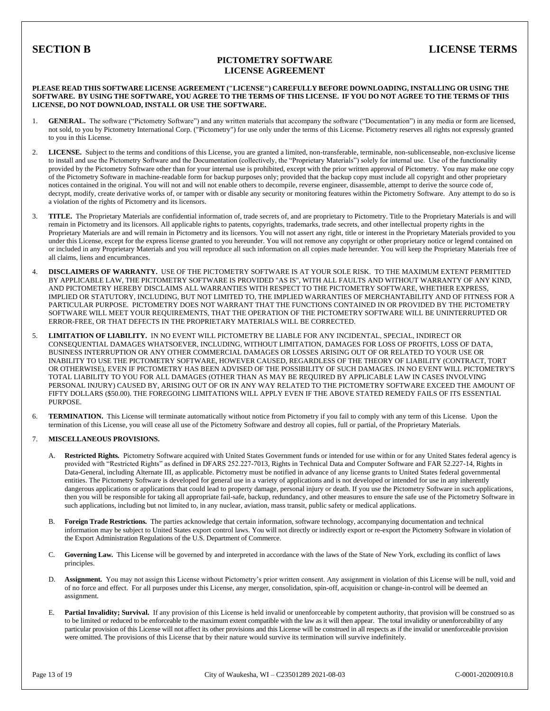### **PICTOMETRY SOFTWARE LICENSE AGREEMENT**

#### **PLEASE READ THIS SOFTWARE LICENSE AGREEMENT ("LICENSE") CAREFULLY BEFORE DOWNLOADING, INSTALLING OR USING THE SOFTWARE. BY USING THE SOFTWARE, YOU AGREE TO THE TERMS OF THIS LICENSE. IF YOU DO NOT AGREE TO THE TERMS OF THIS LICENSE, DO NOT DOWNLOAD, INSTALL OR USE THE SOFTWARE.**

- 1. **GENERAL.** The software ("Pictometry Software") and any written materials that accompany the software ("Documentation") in any media or form are licensed, not sold, to you by Pictometry International Corp. ("Pictometry") for use only under the terms of this License. Pictometry reserves all rights not expressly granted to you in this License.
- 2. **LICENSE.** Subject to the terms and conditions of this License, you are granted a limited, non-transferable, terminable, non-sublicenseable, non-exclusive license to install and use the Pictometry Software and the Documentation (collectively, the "Proprietary Materials") solely for internal use. Use of the functionality provided by the Pictometry Software other than for your internal use is prohibited, except with the prior written approval of Pictometry. You may make one copy of the Pictometry Software in machine-readable form for backup purposes only; provided that the backup copy must include all copyright and other proprietary notices contained in the original. You will not and will not enable others to decompile, reverse engineer, disassemble, attempt to derive the source code of, decrypt, modify, create derivative works of, or tamper with or disable any security or monitoring features within the Pictometry Software. Any attempt to do so is a violation of the rights of Pictometry and its licensors.
- 3. **TITLE.** The Proprietary Materials are confidential information of, trade secrets of, and are proprietary to Pictometry. Title to the Proprietary Materials is and will remain in Pictometry and its licensors. All applicable rights to patents, copyrights, trademarks, trade secrets, and other intellectual property rights in the Proprietary Materials are and will remain in Pictometry and its licensors. You will not assert any right, title or interest in the Proprietary Materials provided to you under this License, except for the express license granted to you hereunder. You will not remove any copyright or other proprietary notice or legend contained on or included in any Proprietary Materials and you will reproduce all such information on all copies made hereunder. You will keep the Proprietary Materials free of all claims, liens and encumbrances.
- 4. **DISCLAIMERS OF WARRANTY.** USE OF THE PICTOMETRY SOFTWARE IS AT YOUR SOLE RISK. TO THE MAXIMUM EXTENT PERMITTED BY APPLICABLE LAW, THE PICTOMETRY SOFTWARE IS PROVIDED "AS IS", WITH ALL FAULTS AND WITHOUT WARRANTY OF ANY KIND, AND PICTOMETRY HEREBY DISCLAIMS ALL WARRANTIES WITH RESPECT TO THE PICTOMETRY SOFTWARE, WHETHER EXPRESS, IMPLIED OR STATUTORY, INCLUDING, BUT NOT LIMITED TO, THE IMPLIED WARRANTIES OF MERCHANTABILITY AND OF FITNESS FOR A PARTICULAR PURPOSE. PICTOMETRY DOES NOT WARRANT THAT THE FUNCTIONS CONTAINED IN OR PROVIDED BY THE PICTOMETRY SOFTWARE WILL MEET YOUR REQUIREMENTS, THAT THE OPERATION OF THE PICTOMETRY SOFTWARE WILL BE UNINTERRUPTED OR ERROR-FREE, OR THAT DEFECTS IN THE PROPRIETARY MATERIALS WILL BE CORRECTED.
- 5. **LIMITATION OF LIABILITY.** IN NO EVENT WILL PICTOMETRY BE LIABLE FOR ANY INCIDENTAL, SPECIAL, INDIRECT OR CONSEQUENTIAL DAMAGES WHATSOEVER, INCLUDING, WITHOUT LIMITATION, DAMAGES FOR LOSS OF PROFITS, LOSS OF DATA, BUSINESS INTERRUPTION OR ANY OTHER COMMERCIAL DAMAGES OR LOSSES ARISING OUT OF OR RELATED TO YOUR USE OR INABILITY TO USE THE PICTOMETRY SOFTWARE, HOWEVER CAUSED, REGARDLESS OF THE THEORY OF LIABILITY (CONTRACT, TORT OR OTHERWISE), EVEN IF PICTOMETRY HAS BEEN ADVISED OF THE POSSIBILITY OF SUCH DAMAGES. IN NO EVENT WILL PICTOMETRY'S TOTAL LIABILITY TO YOU FOR ALL DAMAGES (OTHER THAN AS MAY BE REQUIRED BY APPLICABLE LAW IN CASES INVOLVING PERSONAL INJURY) CAUSED BY, ARISING OUT OF OR IN ANY WAY RELATED TO THE PICTOMETRY SOFTWARE EXCEED THE AMOUNT OF FIFTY DOLLARS (\$50.00). THE FOREGOING LIMITATIONS WILL APPLY EVEN IF THE ABOVE STATED REMEDY FAILS OF ITS ESSENTIAL PURPOSE.
- 6. **TERMINATION.** This License will terminate automatically without notice from Pictometry if you fail to comply with any term of this License. Upon the termination of this License, you will cease all use of the Pictometry Software and destroy all copies, full or partial, of the Proprietary Materials.

#### 7. **MISCELLANEOUS PROVISIONS.**

- A. **Restricted Rights***.* Pictometry Software acquired with United States Government funds or intended for use within or for any United States federal agency is provided with "Restricted Rights" as defined in DFARS 252.227-7013, Rights in Technical Data and Computer Software and FAR 52.227-14, Rights in Data-General, including Alternate III, as applicable. Pictometry must be notified in advance of any license grants to United States federal governmental entities. The Pictometry Software is developed for general use in a variety of applications and is not developed or intended for use in any inherently dangerous applications or applications that could lead to property damage, personal injury or death. If you use the Pictometry Software in such applications, then you will be responsible for taking all appropriate fail-safe, backup, redundancy, and other measures to ensure the safe use of the Pictometry Software in such applications, including but not limited to, in any nuclear, aviation, mass transit, public safety or medical applications.
- B. **Foreign Trade Restrictions***.* The parties acknowledge that certain information, software technology, accompanying documentation and technical information may be subject to United States export control laws. You will not directly or indirectly export or re-export the Pictometry Software in violation of the Export Administration Regulations of the U.S. Department of Commerce.
- C. **Governing Law***.* This License will be governed by and interpreted in accordance with the laws of the State of New York, excluding its conflict of laws principles.
- D. **Assignment***.* You may not assign this License without Pictometry's prior written consent. Any assignment in violation of this License will be null, void and of no force and effect. For all purposes under this License, any merger, consolidation, spin-off, acquisition or change-in-control will be deemed an assignment.
- E. **Partial Invalidity; Survival.** If any provision of this License is held invalid or unenforceable by competent authority, that provision will be construed so as to be limited or reduced to be enforceable to the maximum extent compatible with the law as it will then appear. The total invalidity or unenforceability of any particular provision of this License will not affect its other provisions and this License will be construed in all respects as if the invalid or unenforceable provision were omitted. The provisions of this License that by their nature would survive its termination will survive indefinitely.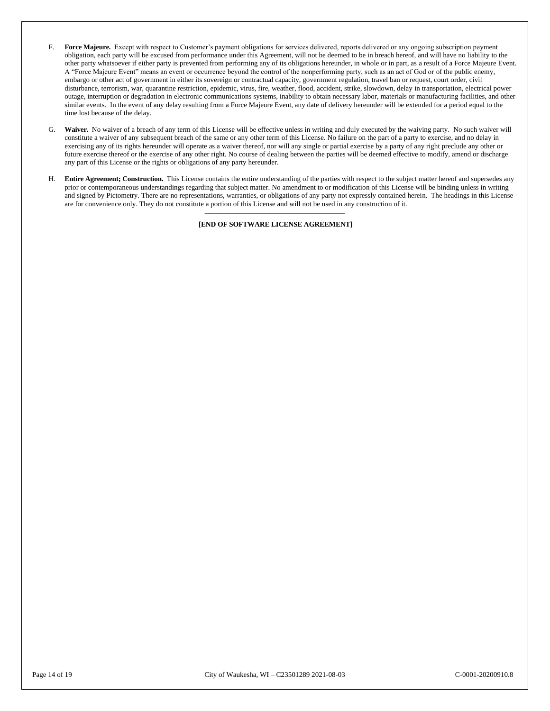- F. **Force Majeure***.*Except with respect to Customer's payment obligations for services delivered, reports delivered or any ongoing subscription payment obligation, each party will be excused from performance under this Agreement, will not be deemed to be in breach hereof, and will have no liability to the other party whatsoever if either party is prevented from performing any of its obligations hereunder, in whole or in part, as a result of a Force Majeure Event. A "Force Majeure Event" means an event or occurrence beyond the control of the nonperforming party, such as an act of God or of the public enemy, embargo or other act of government in either its sovereign or contractual capacity, government regulation, travel ban or request, court order, civil disturbance, terrorism, war, quarantine restriction, epidemic, virus, fire, weather, flood, accident, strike, slowdown, delay in transportation, electrical power outage, interruption or degradation in electronic communications systems, inability to obtain necessary labor, materials or manufacturing facilities, and other similar events. In the event of any delay resulting from a Force Majeure Event, any date of delivery hereunder will be extended for a period equal to the time lost because of the delay.
- G. **Waiver***.* No waiver of a breach of any term of this License will be effective unless in writing and duly executed by the waiving party. No such waiver will constitute a waiver of any subsequent breach of the same or any other term of this License. No failure on the part of a party to exercise, and no delay in exercising any of its rights hereunder will operate as a waiver thereof, nor will any single or partial exercise by a party of any right preclude any other or future exercise thereof or the exercise of any other right. No course of dealing between the parties will be deemed effective to modify, amend or discharge any part of this License or the rights or obligations of any party hereunder.
- H. **Entire Agreement; Construction.** This License contains the entire understanding of the parties with respect to the subject matter hereof and supersedes any prior or contemporaneous understandings regarding that subject matter. No amendment to or modification of this License will be binding unless in writing and signed by Pictometry. There are no representations, warranties, or obligations of any party not expressly contained herein. The headings in this License are for convenience only. They do not constitute a portion of this License and will not be used in any construction of it. **\_\_\_\_\_\_\_\_\_\_\_\_\_\_\_\_\_\_\_\_\_\_\_\_\_\_\_\_\_\_\_\_\_\_\_\_\_\_\_\_\_\_\_\_\_\_\_\_\_\_\_\_**

**[END OF SOFTWARE LICENSE AGREEMENT]**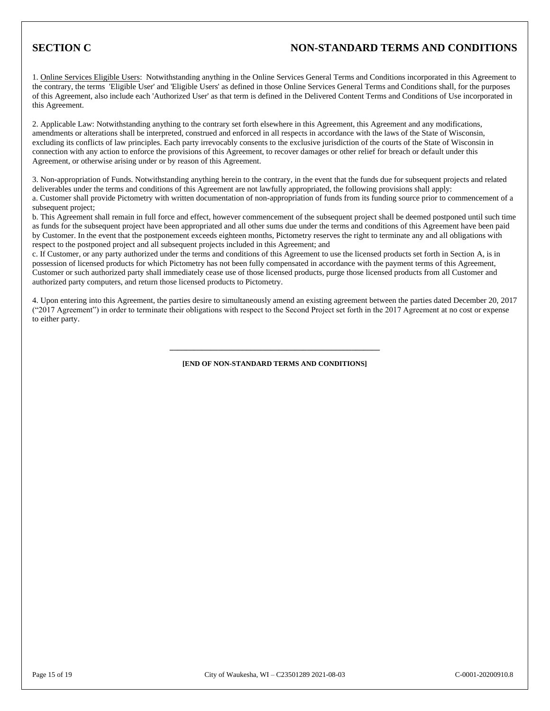## **SECTION C NON-STANDARD TERMS AND CONDITIONS**

1. Online Services Eligible Users: Notwithstanding anything in the Online Services General Terms and Conditions incorporated in this Agreement to the contrary, the terms 'Eligible User' and 'Eligible Users' as defined in those Online Services General Terms and Conditions shall, for the purposes of this Agreement, also include each 'Authorized User' as that term is defined in the Delivered Content Terms and Conditions of Use incorporated in this Agreement.

2. Applicable Law: Notwithstanding anything to the contrary set forth elsewhere in this Agreement, this Agreement and any modifications, amendments or alterations shall be interpreted, construed and enforced in all respects in accordance with the laws of the State of Wisconsin, excluding its conflicts of law principles. Each party irrevocably consents to the exclusive jurisdiction of the courts of the State of Wisconsin in connection with any action to enforce the provisions of this Agreement, to recover damages or other relief for breach or default under this Agreement, or otherwise arising under or by reason of this Agreement.

3. Non-appropriation of Funds. Notwithstanding anything herein to the contrary, in the event that the funds due for subsequent projects and related deliverables under the terms and conditions of this Agreement are not lawfully appropriated, the following provisions shall apply: a. Customer shall provide Pictometry with written documentation of non-appropriation of funds from its funding source prior to commencement of a subsequent project;

b. This Agreement shall remain in full force and effect, however commencement of the subsequent project shall be deemed postponed until such time as funds for the subsequent project have been appropriated and all other sums due under the terms and conditions of this Agreement have been paid by Customer. In the event that the postponement exceeds eighteen months, Pictometry reserves the right to terminate any and all obligations with respect to the postponed project and all subsequent projects included in this Agreement; and

c. If Customer, or any party authorized under the terms and conditions of this Agreement to use the licensed products set forth in Section A, is in possession of licensed products for which Pictometry has not been fully compensated in accordance with the payment terms of this Agreement, Customer or such authorized party shall immediately cease use of those licensed products, purge those licensed products from all Customer and authorized party computers, and return those licensed products to Pictometry.

4. Upon entering into this Agreement, the parties desire to simultaneously amend an existing agreement between the parties dated December 20, 2017 ("2017 Agreement") in order to terminate their obligations with respect to the Second Project set forth in the 2017 Agreement at no cost or expense to either party.

# **\_\_\_\_\_\_\_\_\_\_\_\_\_\_\_\_\_\_\_\_\_\_\_\_\_\_\_\_\_\_\_\_\_\_\_\_\_\_\_\_\_\_\_\_\_\_\_\_\_\_\_\_ [END OF NON-STANDARD TERMS AND CONDITIONS]**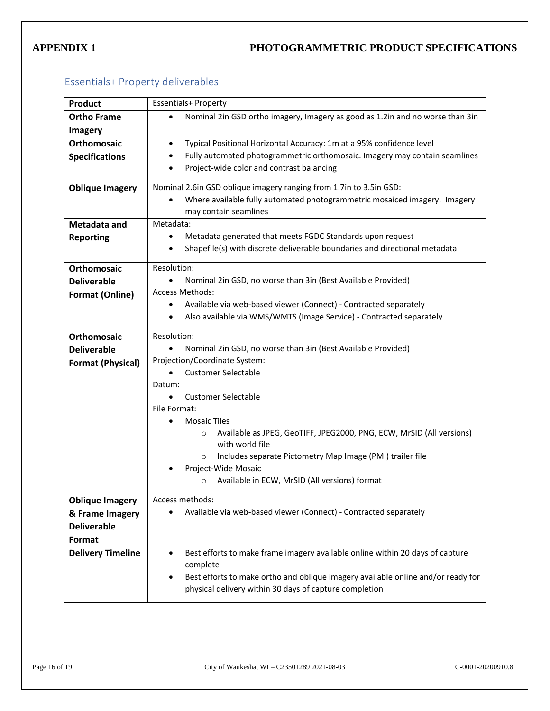# **APPENDIX 1 PHOTOGRAMMETRIC PRODUCT SPECIFICATIONS**

# Essentials+ Property deliverables

| <b>Product</b>           | <b>Essentials+ Property</b>                                                                                                                     |  |
|--------------------------|-------------------------------------------------------------------------------------------------------------------------------------------------|--|
| <b>Ortho Frame</b>       | Nominal 2in GSD ortho imagery, Imagery as good as 1.2in and no worse than 3in                                                                   |  |
| <b>Imagery</b>           |                                                                                                                                                 |  |
| <b>Orthomosaic</b>       | Typical Positional Horizontal Accuracy: 1m at a 95% confidence level<br>$\bullet$                                                               |  |
| <b>Specifications</b>    | Fully automated photogrammetric orthomosaic. Imagery may contain seamlines<br>$\bullet$                                                         |  |
|                          | Project-wide color and contrast balancing<br>$\bullet$                                                                                          |  |
|                          |                                                                                                                                                 |  |
| <b>Oblique Imagery</b>   | Nominal 2.6in GSD oblique imagery ranging from 1.7in to 3.5in GSD:<br>Where available fully automated photogrammetric mosaiced imagery. Imagery |  |
|                          | may contain seamlines                                                                                                                           |  |
| Metadata and             | Metadata:                                                                                                                                       |  |
| <b>Reporting</b>         | Metadata generated that meets FGDC Standards upon request<br>$\bullet$                                                                          |  |
|                          | Shapefile(s) with discrete deliverable boundaries and directional metadata<br>$\bullet$                                                         |  |
|                          |                                                                                                                                                 |  |
| <b>Orthomosaic</b>       | Resolution:                                                                                                                                     |  |
| <b>Deliverable</b>       | Nominal 2in GSD, no worse than 3in (Best Available Provided)<br>$\bullet$                                                                       |  |
| <b>Format (Online)</b>   | <b>Access Methods:</b>                                                                                                                          |  |
|                          | Available via web-based viewer (Connect) - Contracted separately<br>٠                                                                           |  |
|                          | Also available via WMS/WMTS (Image Service) - Contracted separately<br>٠                                                                        |  |
| <b>Orthomosaic</b>       | Resolution:                                                                                                                                     |  |
| <b>Deliverable</b>       | Nominal 2in GSD, no worse than 3in (Best Available Provided)                                                                                    |  |
| <b>Format (Physical)</b> | Projection/Coordinate System:                                                                                                                   |  |
|                          | <b>Customer Selectable</b>                                                                                                                      |  |
|                          | Datum:                                                                                                                                          |  |
|                          | <b>Customer Selectable</b>                                                                                                                      |  |
|                          | File Format:                                                                                                                                    |  |
|                          | <b>Mosaic Tiles</b>                                                                                                                             |  |
|                          | Available as JPEG, GeoTIFF, JPEG2000, PNG, ECW, MrSID (All versions)<br>$\circ$                                                                 |  |
|                          | with world file<br>Includes separate Pictometry Map Image (PMI) trailer file                                                                    |  |
|                          | $\circ$<br>Project-Wide Mosaic                                                                                                                  |  |
|                          | Available in ECW, MrSID (All versions) format<br>$\circ$                                                                                        |  |
|                          |                                                                                                                                                 |  |
| <b>Oblique Imagery</b>   | Access methods:                                                                                                                                 |  |
| & Frame Imagery          | Available via web-based viewer (Connect) - Contracted separately                                                                                |  |
| <b>Deliverable</b>       |                                                                                                                                                 |  |
| Format                   |                                                                                                                                                 |  |
| <b>Delivery Timeline</b> | Best efforts to make frame imagery available online within 20 days of capture<br>$\bullet$                                                      |  |
|                          | complete                                                                                                                                        |  |
|                          | Best efforts to make ortho and oblique imagery available online and/or ready for<br>$\bullet$                                                   |  |
|                          | physical delivery within 30 days of capture completion                                                                                          |  |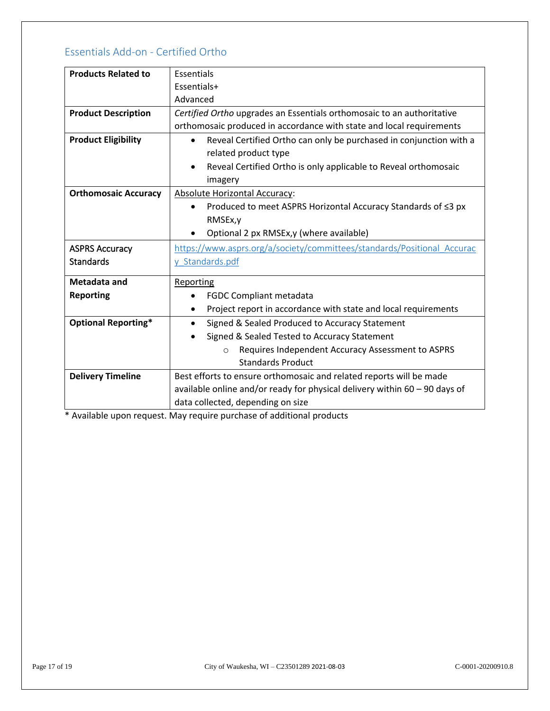# Essentials Add-on - Certified Ortho

| <b>Products Related to</b>  | Essentials                                                                   |
|-----------------------------|------------------------------------------------------------------------------|
|                             | Essentials+                                                                  |
|                             | Advanced                                                                     |
| <b>Product Description</b>  | Certified Ortho upgrades an Essentials orthomosaic to an authoritative       |
|                             | orthomosaic produced in accordance with state and local requirements         |
| <b>Product Eligibility</b>  | Reveal Certified Ortho can only be purchased in conjunction with a           |
|                             | related product type                                                         |
|                             | Reveal Certified Ortho is only applicable to Reveal orthomosaic              |
|                             | imagery                                                                      |
| <b>Orthomosaic Accuracy</b> | Absolute Horizontal Accuracy:                                                |
|                             | Produced to meet ASPRS Horizontal Accuracy Standards of ≤3 px                |
|                             | RMSEx, y                                                                     |
|                             | Optional 2 px RMSEx, y (where available)                                     |
| <b>ASPRS Accuracy</b>       | https://www.asprs.org/a/society/committees/standards/Positional_Accurac      |
| <b>Standards</b>            | y Standards.pdf                                                              |
| Metadata and                | Reporting                                                                    |
| <b>Reporting</b>            | <b>FGDC Compliant metadata</b>                                               |
|                             | Project report in accordance with state and local requirements<br>$\bullet$  |
| <b>Optional Reporting*</b>  | Signed & Sealed Produced to Accuracy Statement<br>$\bullet$                  |
|                             | Signed & Sealed Tested to Accuracy Statement                                 |
|                             | Requires Independent Accuracy Assessment to ASPRS<br>$\Omega$                |
|                             | <b>Standards Product</b>                                                     |
| <b>Delivery Timeline</b>    | Best efforts to ensure orthomosaic and related reports will be made          |
|                             | available online and/or ready for physical delivery within $60 - 90$ days of |
|                             | data collected, depending on size                                            |

\* Available upon request. May require purchase of additional products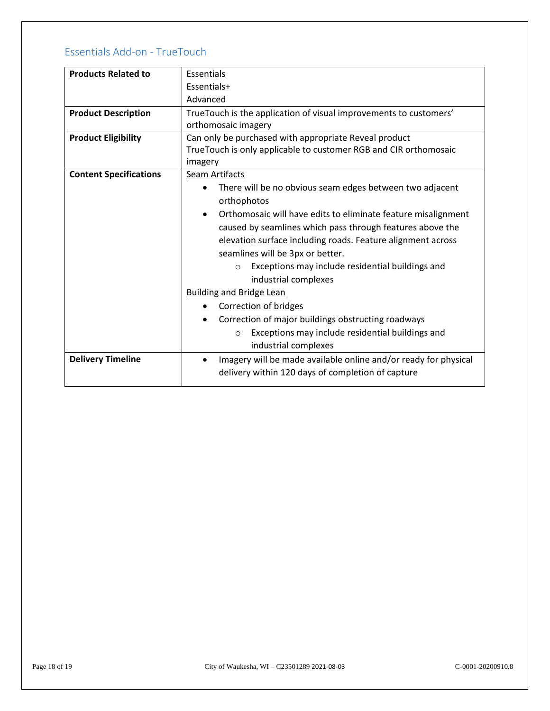# Essentials Add-on - TrueTouch

| <b>Products Related to</b>    | Essentials                                                                   |
|-------------------------------|------------------------------------------------------------------------------|
|                               | Essentials+                                                                  |
|                               | Advanced                                                                     |
| <b>Product Description</b>    | TrueTouch is the application of visual improvements to customers'            |
|                               | orthomosaic imagery                                                          |
| <b>Product Eligibility</b>    | Can only be purchased with appropriate Reveal product                        |
|                               | TrueTouch is only applicable to customer RGB and CIR orthomosaic             |
|                               | imagery                                                                      |
| <b>Content Specifications</b> | <b>Seam Artifacts</b>                                                        |
|                               | There will be no obvious seam edges between two adjacent                     |
|                               | orthophotos                                                                  |
|                               | Orthomosaic will have edits to eliminate feature misalignment<br>$\bullet$   |
|                               | caused by seamlines which pass through features above the                    |
|                               | elevation surface including roads. Feature alignment across                  |
|                               | seamlines will be 3px or better.                                             |
|                               | Exceptions may include residential buildings and<br>$\circ$                  |
|                               | industrial complexes                                                         |
|                               | <b>Building and Bridge Lean</b>                                              |
|                               | Correction of bridges                                                        |
|                               | Correction of major buildings obstructing roadways                           |
|                               | Exceptions may include residential buildings and<br>$\circ$                  |
|                               | industrial complexes                                                         |
| <b>Delivery Timeline</b>      | Imagery will be made available online and/or ready for physical<br>$\bullet$ |
|                               | delivery within 120 days of completion of capture                            |
|                               |                                                                              |